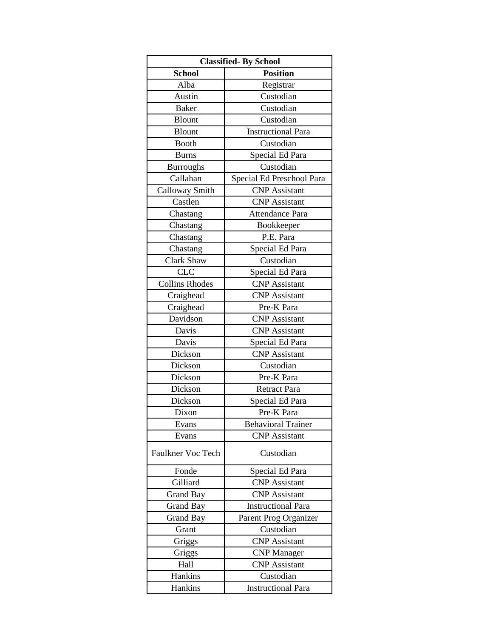|                       | <b>Classified-By School</b> |  |
|-----------------------|-----------------------------|--|
| <b>School</b>         | <b>Position</b>             |  |
| Alba                  | Registrar                   |  |
| Austin                | Custodian                   |  |
| <b>Baker</b>          | Custodian                   |  |
| <b>Blount</b>         | Custodian                   |  |
| <b>Blount</b>         | <b>Instructional Para</b>   |  |
| <b>Booth</b>          | Custodian                   |  |
| <b>Burns</b>          | Special Ed Para             |  |
| <b>Burroughs</b>      | Custodian                   |  |
| Callahan              | Special Ed Preschool Para   |  |
| Calloway Smith        | <b>CNP</b> Assistant        |  |
| Castlen               | <b>CNP</b> Assistant        |  |
| Chastang              | <b>Attendance Para</b>      |  |
| Chastang              | Bookkeeper                  |  |
| Chastang              | P.E. Para                   |  |
| Chastang              | Special Ed Para             |  |
| Clark Shaw            | Custodian                   |  |
| <b>CLC</b>            | Special Ed Para             |  |
| <b>Collins Rhodes</b> | <b>CNP</b> Assistant        |  |
| Craighead             | <b>CNP</b> Assistant        |  |
| Craighead             | Pre-K Para                  |  |
| Davidson              | <b>CNP</b> Assistant        |  |
| Davis                 | <b>CNP</b> Assistant        |  |
| Davis                 | Special Ed Para             |  |
| Dickson               | <b>CNP</b> Assistant        |  |
| Dickson               | Custodian                   |  |
| Dickson               | Pre-K Para                  |  |
| Dickson               | <b>Retract Para</b>         |  |
| Dickson               | Special Ed Para             |  |
| Dixon                 | Pre-K Para                  |  |
| Evans                 | <b>Behavioral Trainer</b>   |  |
| Evans                 | <b>CNP</b> Assistant        |  |
| Faulkner Voc Tech     | Custodian                   |  |
| Fonde                 | Special Ed Para             |  |
| Gilliard              | <b>CNP</b> Assistant        |  |
| <b>Grand Bay</b>      | <b>CNP</b> Assistant        |  |
| Grand Bay             | <b>Instructional Para</b>   |  |
| <b>Grand Bay</b>      | Parent Prog Organizer       |  |
| Grant                 | Custodian                   |  |
| Griggs                | <b>CNP</b> Assistant        |  |
| Griggs                | <b>CNP</b> Manager          |  |
| Hall                  | <b>CNP</b> Assistant        |  |
| Hankins               | Custodian                   |  |
| Hankins               | <b>Instructional Para</b>   |  |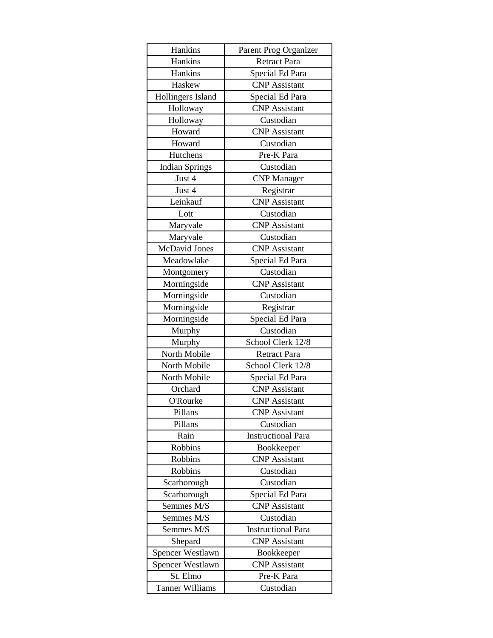| Hankins                | Parent Prog Organizer     |
|------------------------|---------------------------|
| Hankins                | <b>Retract Para</b>       |
| Hankins                | Special Ed Para           |
| Haskew                 | <b>CNP</b> Assistant      |
| Hollingers Island      | Special Ed Para           |
| Holloway               | <b>CNP</b> Assistant      |
| Holloway               | Custodian                 |
| Howard                 | <b>CNP</b> Assistant      |
| Howard                 | Custodian                 |
| Hutchens               | Pre-K Para                |
| <b>Indian Springs</b>  | Custodian                 |
| Just 4                 | <b>CNP</b> Manager        |
| Just 4                 | Registrar                 |
| Leinkauf               | <b>CNP</b> Assistant      |
| Lott                   | Custodian                 |
| Maryvale               | <b>CNP</b> Assistant      |
| Maryvale               | Custodian                 |
| <b>McDavid Jones</b>   | <b>CNP</b> Assistant      |
| Meadowlake             | Special Ed Para           |
| Montgomery             | Custodian                 |
| Morningside            | <b>CNP</b> Assistant      |
| Morningside            | Custodian                 |
| Morningside            | Registrar                 |
| Morningside            | Special Ed Para           |
| Murphy                 | Custodian                 |
| Murphy                 | School Clerk 12/8         |
| North Mobile           | Retract Para              |
| North Mobile           | School Clerk 12/8         |
| North Mobile           | Special Ed Para           |
| Orchard                | <b>CNP</b> Assistant      |
| <b>O'Rourke</b>        | <b>CNP</b> Assistant      |
| Pillans                | <b>CNP</b> Assistant      |
| Pillans                | Custodian                 |
| Rain                   | <b>Instructional Para</b> |
| <b>Robbins</b>         | Bookkeeper                |
| Robbins                | <b>CNP</b> Assistant      |
| <b>Robbins</b>         | Custodian                 |
| Scarborough            | Custodian                 |
| Scarborough            | Special Ed Para           |
| Semmes M/S             | <b>CNP</b> Assistant      |
| Semmes M/S             | Custodian                 |
| Semmes M/S             | <b>Instructional Para</b> |
| Shepard                | <b>CNP</b> Assistant      |
| Spencer Westlawn       | Bookkeeper                |
| Spencer Westlawn       | <b>CNP</b> Assistant      |
| St. Elmo               | Pre-K Para                |
| <b>Tanner Williams</b> | Custodian                 |